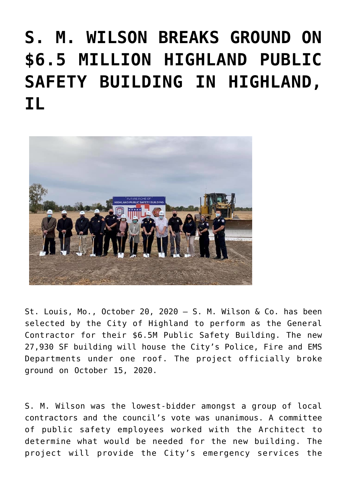## **[S. M. WILSON BREAKS GROUND ON](https://smwilson.com/press-releases/s-m-wilson-breaks-ground-on-6-5-million-highland-public-safety-building-in-highland-il) [\\$6.5 MILLION HIGHLAND PUBLIC](https://smwilson.com/press-releases/s-m-wilson-breaks-ground-on-6-5-million-highland-public-safety-building-in-highland-il) [SAFETY BUILDING IN HIGHLAND,](https://smwilson.com/press-releases/s-m-wilson-breaks-ground-on-6-5-million-highland-public-safety-building-in-highland-il) [IL](https://smwilson.com/press-releases/s-m-wilson-breaks-ground-on-6-5-million-highland-public-safety-building-in-highland-il)**



St. Louis, Mo., October 20, 2020 – S. M. Wilson & Co. has been selected by the City of Highland to perform as the General Contractor for their \$6.5M Public Safety Building. The new 27,930 SF building will house the City's Police, Fire and EMS Departments under one roof. The project officially broke ground on October 15, 2020.

S. M. Wilson was the lowest-bidder amongst a group of local contractors and the council's vote was unanimous. A committee of public safety employees worked with the Architect to determine what would be needed for the new building. The project will provide the City's emergency services the